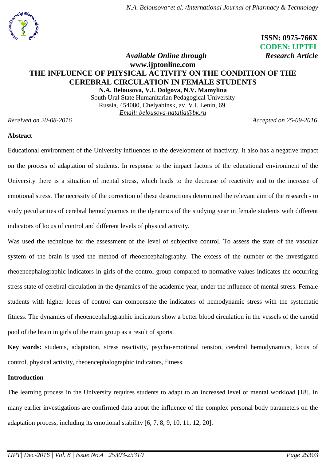

 **ISSN: 0975-766X CODEN: IJPTFI**

# *Available Online through* **Research Article [www.ijptonline.com](http://www.ijptonline.com/) THE INFLUENCE OF PHYSICAL ACTIVITY ON THE CONDITION OF THE CEREBRAL CIRCULATION IN FEMALE STUDENTS**

**N.A. Belousova, V.I. Dolgova, N.V. Mamylina** South Ural State Humanitarian Pedagogical University Russia, 454080, Chelyabinsk, av. V.I. Lenin, 69. *Email: belousova-natalia@bk.ru*

*Received on 20-08-2016 Accepted on 25-09-2016*

### **Abstract**

Educational environment of the University influences to the development of inactivity, it also has a negative impact on the process of adaptation of students. In response to the impact factors of the educational environment of the University there is a situation of mental stress, which leads to the decrease of reactivity and to the increase of emotional stress. The necessity of the correction of these destructions determined the relevant aim of the research - to study peculiarities of cerebral hemodynamics in the dynamics of the studying year in female students with different indicators of locus of control and different levels of physical activity.

Was used the technique for the assessment of the level of subjective control. To assess the state of the vascular system of the brain is used the method of rheoencephalography. The excess of the number of the investigated rheoencephalographic indicators in girls of the control group compared to normative values indicates the occurring stress state of cerebral circulation in the dynamics of the academic year, under the influence of mental stress. Female students with higher locus of control can compensate the indicators of hemodynamic stress with the systematic fitness. The dynamics of rheoencephalographic indicators show a better blood circulation in the vessels of the carotid pool of the brain in girls of the main group as a result of sports.

**Key words:** students, adaptation, stress reactivity, psycho-emotional tension, cerebral hemodynamics, locus of control, physical activity, rheoencephalographic indicators, fitness.

#### **Introduction**

The learning process in the University requires students to adapt to an increased level of mental workload [18]. In many earlier investigations are confirmed data about the influence of the complex personal body parameters on the adaptation process, including its emotional stability [6, 7, 8, 9, 10, 11, 12, 20].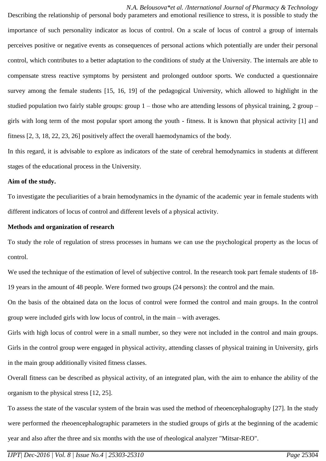*N.A. Belousova\*et al. /International Journal of Pharmacy & Technology* Describing the relationship of personal body parameters and emotional resilience to stress, it is possible to study the importance of such personality indicator as locus of control. On a scale of locus of control a group of internals perceives positive or negative events as consequences of personal actions which potentially are under their personal control, which contributes to a better adaptation to the conditions of study at the University. The internals are able to compensate stress reactive symptoms by persistent and prolonged outdoor sports. We conducted a questionnaire survey among the female students [15, 16, 19] of the pedagogical University, which allowed to highlight in the studied population two fairly stable groups: group 1 – those who are attending lessons of physical training, 2 group – girls with long term of the most popular sport among the youth - fitness. It is known that physical activity [1] and fitness [2, 3, 18, 22, 23, 26] positively affect the overall haemodynamics of the body.

In this regard, it is advisable to explore as indicators of the state of cerebral hemodynamics in students at different stages of the educational process in the University.

#### **Aim of the study.**

To investigate the peculiarities of a brain hemodynamics in the dynamic of the academic year in female students with different indicators of locus of control and different levels of a physical activity.

#### **Methods and organization of research**

To study the role of regulation of stress processes in humans we can use the psychological property as the locus of control.

We used the technique of the estimation of level of subjective control. In the research took part female students of 18- 19 years in the amount of 48 people. Were formed two groups (24 persons): the control and the main.

On the basis of the obtained data on the locus of control were formed the control and main groups. In the control group were included girls with low locus of control, in the main – with averages.

Girls with high locus of control were in a small number, so they were not included in the control and main groups. Girls in the control group were engaged in physical activity, attending classes of physical training in University, girls in the main group additionally visited fitness classes.

Overall fitness can be described as physical activity, of an integrated plan, with the aim to enhance the ability of the organism to the physical stress [12, 25].

To assess the state of the vascular system of the brain was used the method of rheoencephalography [27]. In the study were performed the rheoencephalographic parameters in the studied groups of girls at the beginning of the academic year and also after the three and six months with the use of rheological analyzer "Mitsar-REO".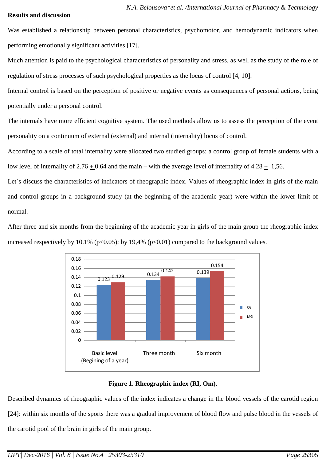### **Results and discussion**

Was established a relationship between personal characteristics, psychomotor, and hemodynamic indicators when performing emotionally significant activities [17].

Much attention is paid to the psychological characteristics of personality and stress, as well as the study of the role of regulation of stress processes of such psychological properties as the locus of control [4, 10].

Internal control is based on the perception of positive or negative events as consequences of personal actions, being potentially under a personal control.

The internals have more efficient cognitive system. The used methods allow us to assess the perception of the event personality on a continuum of external (external) and internal (internality) locus of control.

According to a scale of total internality were allocated two studied groups: a control group of female students with a low level of internality of  $2.76 + 0.64$  and the main – with the average level of internality of  $4.28 + 1.56$ .

Let's discuss the characteristics of indicators of rheographic index. Values of rheographic index in girls of the main and control groups in a background study (at the beginning of the academic year) were within the lower limit of normal.

After three and six months from the beginning of the academic year in girls of the main group the rheographic index increased respectively by 10.1% ( $p<0.05$ ); by 19,4% ( $p<0.01$ ) compared to the background values.



**Figure 1. Rheographic index (RI, Om).**

Described dynamics of rheographic values of the index indicates a change in the blood vessels of the carotid region [24]: within six months of the sports there was a gradual improvement of blood flow and pulse blood in the vessels of the carotid pool of the brain in girls of the main group.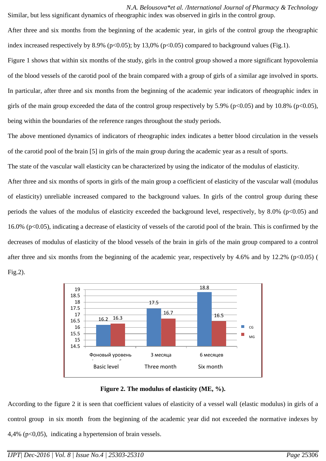*N.A. Belousova\*et al. /International Journal of Pharmacy & Technology* Similar, but less significant dynamics of rheographic index was observed in girls in the control group.

After three and six months from the beginning of the academic year, in girls of the control group the rheographic index increased respectively by 8.9% ( $p<0.05$ ); by 13.0% ( $p<0.05$ ) compared to background values (Fig.1).

Figure 1 shows that within six months of the study, girls in the control group showed a more significant hypovolemia of the blood vessels of the carotid pool of the brain compared with a group of girls of a similar age involved in sports. In particular, after three and six months from the beginning of the academic year indicators of rheographic index in girls of the main group exceeded the data of the control group respectively by 5.9% ( $p<0.05$ ) and by 10.8% ( $p<0.05$ ), being within the boundaries of the reference ranges throughout the study periods.

The above mentioned dynamics of indicators of rheographic index indicates a better blood circulation in the vessels of the carotid pool of the brain [5] in girls of the main group during the academic year as a result of sports.

The state of the vascular wall elasticity can be characterized by using the indicator of the modulus of elasticity.

After three and six months of sports in girls of the main group a coefficient of elasticity of the vascular wall (modulus of elasticity) unreliable increased compared to the background values. In girls of the control group during these periods the values of the modulus of elasticity exceeded the background level, respectively, by  $8.0\%$  (p<0.05) and 16.0% (p<0.05), indicating a decrease of elasticity of vessels of the carotid pool of the brain. This is confirmed by the decreases of modulus of elasticity of the blood vessels of the brain in girls of the main group compared to a control after three and six months from the beginning of the academic year, respectively by 4.6% and by 12.2% ( $p<0.05$ ) (

Fig.2).



**Figure 2. The modulus of elasticity (ME, %).**

According to the figure 2 it is seen that coefficient values of elasticity of a vessel wall (elastic modulus) in girls of a control group in six month from the beginning of the academic year did not exceeded the normative indexes by 4,4% (р<0,05), indicating a hypertension of brain vessels.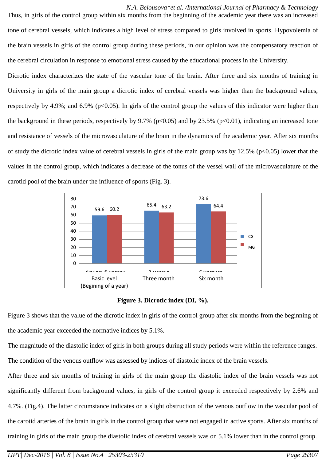*N.A. Belousova\*et al. /International Journal of Pharmacy & Technology* Thus, in girls of the control group within six months from the beginning of the academic year there was an increased tone of cerebral vessels, which indicates a high level of stress compared to girls involved in sports. Hypovolemia of the brain vessels in girls of the control group during these periods, in our opinion was the compensatory reaction of the cerebral circulation in response to emotional stress caused by the educational process in the University.

Dicrotic index characterizes the state of the vascular tone of the brain. After three and six months of training in University in girls of the main group a dicrotic index of cerebral vessels was higher than the background values, respectively by 4.9%; and 6.9% (p<0.05). In girls of the control group the values of this indicator were higher than the background in these periods, respectively by 9.7% ( $p<0.05$ ) and by 23.5% ( $p<0.01$ ), indicating an increased tone and resistance of vessels of the microvasculature of the brain in the dynamics of the academic year. After six months of study the dicrotic index value of cerebral vessels in girls of the main group was by  $12.5\%$  (p<0.05) lower that the values in the control group, which indicates a decrease of the tonus of the vessel wall of the microvasculature of the carotid pool of the brain under the influence of sports (Fig. 3).





Figure 3 shows that the value of the dicrotic index in girls of the control group after six months from the beginning of the academic year exceeded the normative indices by 5.1%.

The magnitude of the diastolic index of girls in both groups during all study periods were within the reference ranges. The condition of the venous outflow was assessed by indices of diastolic index of the brain vessels.

After three and six months of training in girls of the main group the diastolic index of the brain vessels was not significantly different from background values, in girls of the control group it exceeded respectively by 2.6% and 4.7%. (Fig.4). The latter circumstance indicates on a slight obstruction of the venous outflow in the vascular pool of the carotid arteries of the brain in girls in the control group that were not engaged in active sports. After six months of training in girls of the main group the diastolic index of cerebral vessels was on 5.1% lower than in the control group.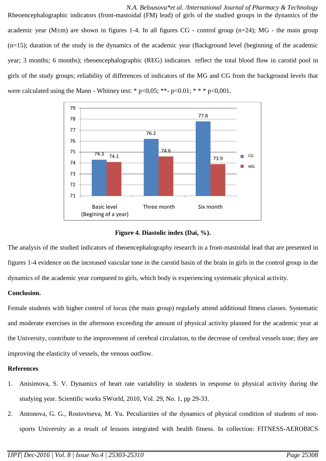*N.A. Belousova\*et al. /International Journal of Pharmacy & Technology* Rheoencephalographic indicators (front-mastoidal (FM) lead) of girls of the studied groups in the dynamics of the academic year (M $\pm$ m) are shown in figures 1-4. In all figures CG - control group (n=24); MG - the main group (n=15); duration of the study in the dynamics of the academic year (Background level (beginning of the academic year; 3 months; 6 months); rheoencephalographic (REG) indicators reflect the total blood flow in carotid pool in girls of the study groups; reliability of differences of indicators of the MG and CG from the background levels that were calculated using the Mann - Whitney test: \*  $p<0.05$ ; \*\*- $p<0.01$ ; \*\*\* $p<0.001$ .



**Figure 4. Diastolic index (Dai, %).**

The analysis of the studied indicators of rheoencephalography research in a front-mastoidal lead that are presented in figures 1-4 evidence on the increased vascular tone in the carotid basin of the brain in girls in the control group in the dynamics of the academic year compared to girls, which body is experiencing systematic physical activity.

## **Conclusion.**

Female students with higher control of locus (the main group) regularly attend additional fitness classes. Systematic and moderate exercises in the afternoon exceeding the amount of physical activity planned for the academic year at the University, contribute to the improvement of cerebral circulation, to the decrease of cerebral vessels tone; they are improving the elasticity of vessels, the venous outflow.

## **References**

- 1. Anisimova, S. V. Dynamics of heart rate variability in students in response to physical activity during the studying year. Scientific works SWorld, 2010, Vol. 29, No. 1, pp 29-33.
- 2. Antonova, G. G., Rostovtseva, M. Yu. Peculiarities of the dynamics of physical condition of students of nonsports University as a result of lessons integrated with health fitness. In collection: FITNESS-AEROBICS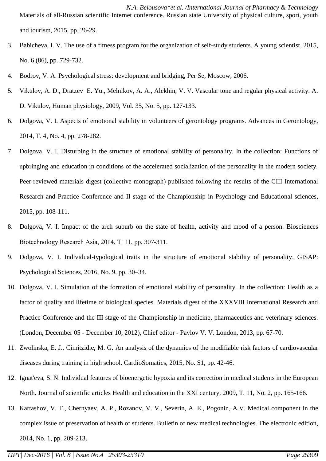*N.A. Belousova\*et al. /International Journal of Pharmacy & Technology* Materials of all-Russian scientific Internet conference. Russian state University of physical culture, sport, youth and tourism, 2015, pp. 26-29.

- 3. Babicheva, I. V. The use of a fitness program for the organization of self-study students. A young scientist, 2015, No. 6 (86), pp. 729-732.
- 4. Bodrov, V. A. Psychological stress: development and bridging, Per Se, Moscow, 2006.
- 5. Vikulov, A. D., Dratzev E. Yu., Melnikov, A. A., Alekhin, V. V. Vascular tone and regular physical activity. A. D. Vikulov, Human physiology, 2009, Vol. 35, No. 5, pp. 127-133.
- 6. Dolgova, V. I. Aspects of emotional stability in volunteers of gerontology programs. Advances in Gerontology, 2014, Т. 4, No. 4, pp. 278-282.
- 7. Dolgova, V. I. Disturbing in the structure of emotional stability of personality. In the collection: Functions of upbringing and education in conditions of the accelerated socialization of the personality in the modern society. Peer-reviewed materials digest (collective monograph) published following the results of the CIII International Research and Practice Conference and II stage of the Championship in Psychology and Educational sciences, 2015, pp. 108-111.
- 8. Dolgova, V. I. Impact of the arch suburb on the state of health, activity and mood of a person. Biosciences Biotechnology Research Asia, 2014, Т. 11, pp. 307-311.
- 9. Dolgova, V. I. Individual-typological traits in the structure of emotional stability of personality. GISAP: Psychological Sciences, 2016, No. 9, pp. 30–34.
- 10. Dolgova, V. I. Simulation of the formation of emotional stability of personality. In the collection: Health as a factor of quality and lifetime of biological species. Materials digest of the XXXVIII International Research and Practice Conference and the III stage of the Championship in medicine, pharmaceutics and veterinary sciences. (London, December 05 - December 10, 2012), Chief editor - Pavlov V. V. London, 2013, pp. 67-70.
- 11. Zwolinska, E. J., Cimitzidie, M. G. An analysis of the dynamics of the modifiable risk factors of cardiovascular diseases during training in high school. CardioSomatics, 2015, No. S1, pp. 42-46.
- 12. Ignat'eva, S. N. Individual features of bioenergetic hypoxia and its correction in medical students in the European North. Journal of scientific articles Health and education in the XXI century, 2009, T. 11, No. 2, pp. 165-166.
- 13. Kartashov, V. T., Chernyaev, A. P., Rozanov, V. V., Severin, A. E., Pogonin, A.V. Medical component in the complex issue of preservation of health of students. Bulletin of new medical technologies. The electronic edition, 2014, No. 1, pp. 209-213.